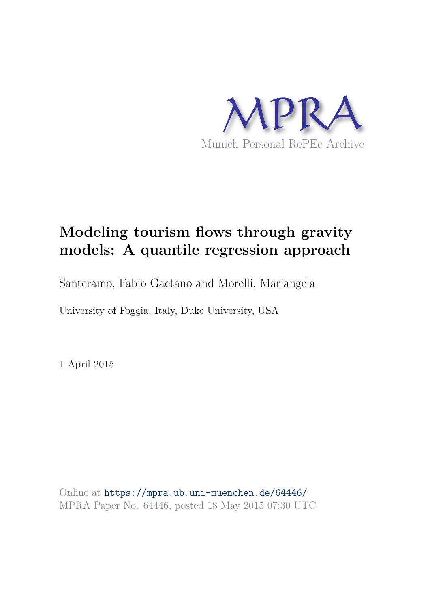

# **Modeling tourism flows through gravity models: A quantile regression approach**

Santeramo, Fabio Gaetano and Morelli, Mariangela

University of Foggia, Italy, Duke University, USA

1 April 2015

Online at https://mpra.ub.uni-muenchen.de/64446/ MPRA Paper No. 64446, posted 18 May 2015 07:30 UTC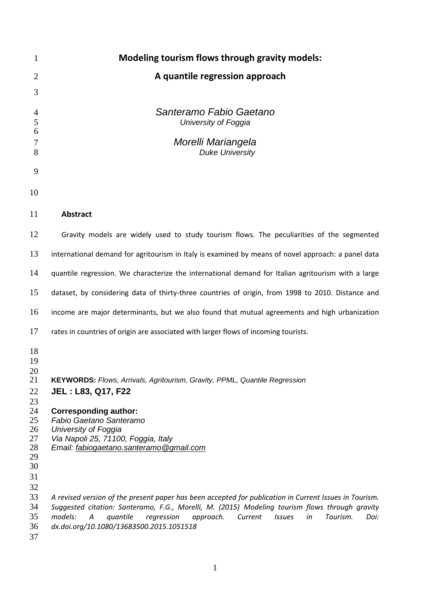| $\mathbf{1}$                                                                           | <b>Modeling tourism flows through gravity models:</b>                                                                                                                                                                                                                                                                                                             |
|----------------------------------------------------------------------------------------|-------------------------------------------------------------------------------------------------------------------------------------------------------------------------------------------------------------------------------------------------------------------------------------------------------------------------------------------------------------------|
| $\overline{2}$                                                                         | A quantile regression approach                                                                                                                                                                                                                                                                                                                                    |
| 3                                                                                      |                                                                                                                                                                                                                                                                                                                                                                   |
| $\overline{4}$<br>5                                                                    | Santeramo Fabio Gaetano<br>University of Foggia                                                                                                                                                                                                                                                                                                                   |
| 6<br>$\tau$<br>8                                                                       | Morelli Mariangela<br><b>Duke University</b>                                                                                                                                                                                                                                                                                                                      |
| 9                                                                                      |                                                                                                                                                                                                                                                                                                                                                                   |
| 10                                                                                     |                                                                                                                                                                                                                                                                                                                                                                   |
| 11                                                                                     | <b>Abstract</b>                                                                                                                                                                                                                                                                                                                                                   |
| 12                                                                                     | Gravity models are widely used to study tourism flows. The peculiarities of the segmented                                                                                                                                                                                                                                                                         |
| 13                                                                                     | international demand for agritourism in Italy is examined by means of novel approach: a panel data                                                                                                                                                                                                                                                                |
| 14                                                                                     | quantile regression. We characterize the international demand for Italian agritourism with a large                                                                                                                                                                                                                                                                |
| 15                                                                                     | dataset, by considering data of thirty-three countries of origin, from 1998 to 2010. Distance and                                                                                                                                                                                                                                                                 |
| 16                                                                                     | income are major determinants, but we also found that mutual agreements and high urbanization                                                                                                                                                                                                                                                                     |
| 17                                                                                     | rates in countries of origin are associated with larger flows of incoming tourists.                                                                                                                                                                                                                                                                               |
| 18<br>19<br>20<br>21<br>22<br>23<br>24<br>25<br>26<br>27<br>28<br>29<br>30<br>31<br>32 | KEYWORDS: Flows, Arrivals, Agritourism, Gravity, PPML, Quantile Regression<br><b>JEL: L83, Q17, F22</b><br><b>Corresponding author:</b><br>Fabio Gaetano Santeramo<br>University of Foggia<br>Via Napoli 25, 71100, Foggia, Italy<br>Email: fabiogaetano.santeramo@gmail.com                                                                                      |
| 33<br>34<br>35<br>36<br>37                                                             | A revised version of the present paper has been accepted for publication in Current Issues in Tourism.<br>Suggested citation: Santeramo, F.G., Morelli, M. (2015) Modeling tourism flows through gravity<br>models:<br>quantile<br>Tourism.<br>regression<br>approach.<br>Current<br><b>Issues</b><br>in<br>A<br>Doi:<br>dx.doi.org/10.1080/13683500.2015.1051518 |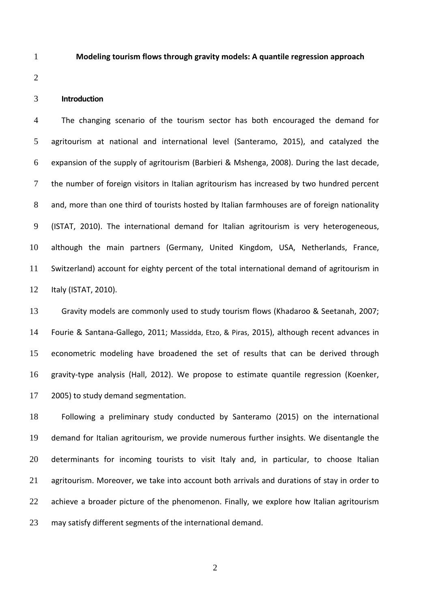#### **Modeling tourism flows through gravity models: A quantile regression approach**

# **Introduction**

The changing scenario of the tourism sector has both encouraged the demand for agritourism at national and international level (Santeramo, 2015), and catalyzed the expansion of the supply of agritourism (Barbieri & Mshenga, 2008). During the last decade, the number of foreign visitors in Italian agritourism has increased by two hundred percent 8 and, more than one third of tourists hosted by Italian farmhouses are of foreign nationality (ISTAT, 2010). The international demand for Italian agritourism is very heterogeneous, although the main partners (Germany, United Kingdom, USA, Netherlands, France, Switzerland) account for eighty percent of the total international demand of agritourism in Italy (ISTAT, 2010).

Gravity models are commonly used to study tourism flows (Khadaroo & Seetanah, 2007; Fourie & Santana-Gallego, 2011; Massidda, Etzo, & Piras, 2015), although recent advances in econometric modeling have broadened the set of results that can be derived through gravity-type analysis (Hall, 2012). We propose to estimate quantile regression (Koenker, 2005) to study demand segmentation.

Following a preliminary study conducted by Santeramo (2015) on the international demand for Italian agritourism, we provide numerous further insights. We disentangle the determinants for incoming tourists to visit Italy and, in particular, to choose Italian 21 agritourism. Moreover, we take into account both arrivals and durations of stay in order to 22 achieve a broader picture of the phenomenon. Finally, we explore how Italian agritourism may satisfy different segments of the international demand.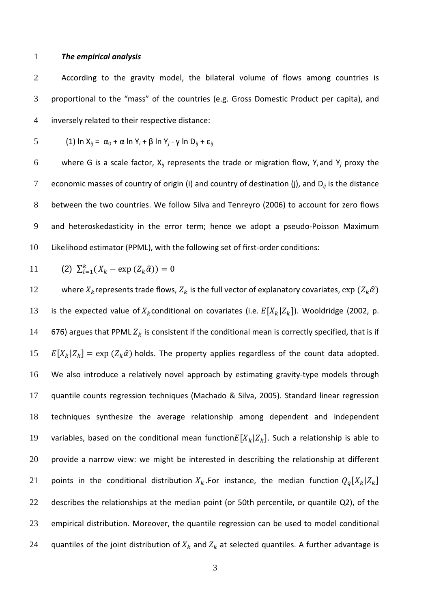## 1 *The empirical analysis*

2 According to the gravity model, the bilateral volume of flows among countries is 3 proportional to the "mass" of the countries (e.g. Gross Domestic Product per capita), and 4 inversely related to their respective distance:

5 (1) 
$$
\ln X_{ij} = \alpha_0 + \alpha \ln Y_i + \beta \ln Y_j - \gamma \ln D_{ij} + \epsilon_{ij}
$$

6 where G is a scale factor,  $X_{ij}$  represents the trade or migration flow,  $Y_i$  and  $Y_j$  proxy the 7 economic masses of country of origin (i) and country of destination (j), and  $D_{ii}$  is the distance 8 between the two countries. We follow Silva and Tenreyro (2006) to account for zero flows 9 and heteroskedasticity in the error term; hence we adopt a pseudo-Poisson Maximum 10 Likelihood estimator (PPML), with the following set of first-order conditions:

11 (2) 
$$
\sum_{i=1}^{k} (X_k - \exp(Z_k \hat{\alpha})) = 0
$$

12 where  $X_k$  represents trade flows,  $Z_k$  is the full vector of explanatory covariates,  $\exp\left(Z_k\hat{\alpha}\right)$ 13 is the expected value of  $X_k$ conditional on covariates (i.e.  $E[X_k|Z_k]$ ). Wooldridge (2002, p. 14 676) argues that PPML  $Z_k$  is consistent if the conditional mean is correctly specified, that is if  $15$   $E[X_k|Z_k] = \exp(Z_k\hat{\alpha})$  holds. The property applies regardless of the count data adopted. 16 We also introduce a relatively novel approach by estimating gravity-type models through 17 quantile counts regression techniques (Machado & Silva, 2005). Standard linear regression 18 techniques synthesize the average relationship among dependent and independent 19 variables, based on the conditional mean function $E[X_k|Z_k]$ . Such a relationship is able to 20 provide a narrow view: we might be interested in describing the relationship at different 21 a points in the conditional distribution  $X_k$ . For instance, the median function  $Q_q[X_k|Z_k]$ 22 describes the relationships at the median point (or 50th percentile, or quantile Q2), of the 23 empirical distribution. Moreover, the quantile regression can be used to model conditional 24 quantiles of the joint distribution of  $X_k$  and  $Z_k$  at selected quantiles. A further advantage is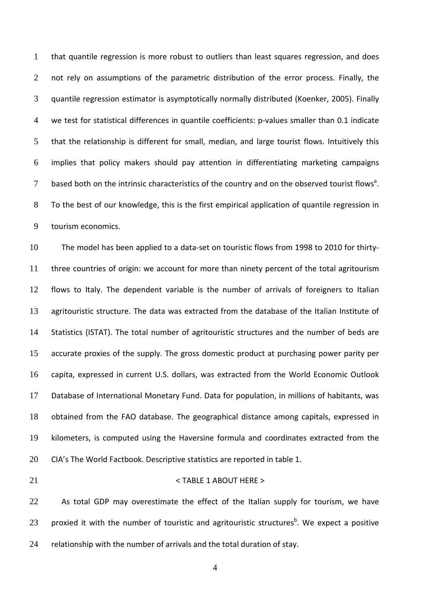that quantile regression is more robust to outliers than least squares regression, and does 2 not rely on assumptions of the parametric distribution of the error process. Finally, the quantile regression estimator is asymptotically normally distributed (Koenker, 2005). Finally we test for statistical differences in quantile coefficients: p-values smaller than 0.1 indicate that the relationship is different for small, median, and large tourist flows. Intuitively this implies that policy makers should pay attention in differentiating marketing campaigns 7 based both on the intrinsic characteristics of the country and on the observed tourist flows<sup>a</sup>. To the best of our knowledge, this is the first empirical application of quantile regression in tourism economics.

The model has been applied to a data-set on touristic flows from 1998 to 2010 for thirty-three countries of origin: we account for more than ninety percent of the total agritourism flows to Italy. The dependent variable is the number of arrivals of foreigners to Italian agritouristic structure. The data was extracted from the database of the Italian Institute of Statistics (ISTAT). The total number of agritouristic structures and the number of beds are accurate proxies of the supply. The gross domestic product at purchasing power parity per capita, expressed in current U.S. dollars, was extracted from the World Economic Outlook Database of International Monetary Fund. Data for population, in millions of habitants, was obtained from the FAO database. The geographical distance among capitals, expressed in kilometers, is computed using the Haversine formula and coordinates extracted from the CIA's The World Factbook. Descriptive statistics are reported in table 1.

## 21 < TABLE 1 ABOUT HERE >

22 As total GDP may overestimate the effect of the Italian supply for tourism, we have 23  $\,$  proxied it with the number of touristic and agritouristic structures<sup>b</sup>. We expect a positive relationship with the number of arrivals and the total duration of stay.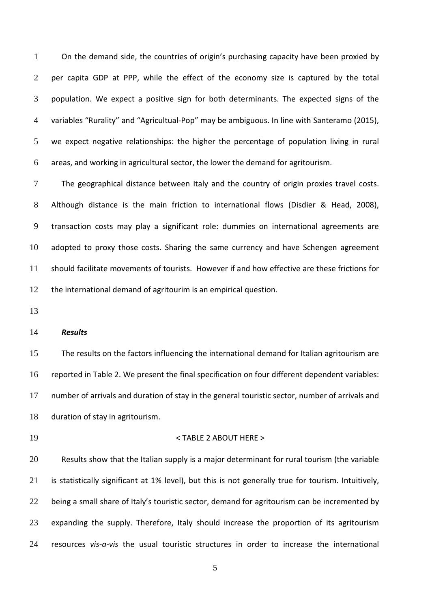On the demand side, the countries of origin's purchasing capacity have been proxied by per capita GDP at PPP, while the effect of the economy size is captured by the total population. We expect a positive sign for both determinants. The expected signs of the variables "Rurality" and "Agricultual-Pop" may be ambiguous. In line with Santeramo (2015), we expect negative relationships: the higher the percentage of population living in rural areas, and working in agricultural sector, the lower the demand for agritourism.

The geographical distance between Italy and the country of origin proxies travel costs. Although distance is the main friction to international flows (Disdier & Head, 2008), transaction costs may play a significant role: dummies on international agreements are adopted to proxy those costs. Sharing the same currency and have Schengen agreement should facilitate movements of tourists. However if and how effective are these frictions for the international demand of agritourim is an empirical question.

# *Results*

The results on the factors influencing the international demand for Italian agritourism are reported in Table 2. We present the final specification on four different dependent variables: number of arrivals and duration of stay in the general touristic sector, number of arrivals and duration of stay in agritourism.

#### < TABLE 2 ABOUT HERE >

Results show that the Italian supply is a major determinant for rural tourism (the variable is statistically significant at 1% level), but this is not generally true for tourism. Intuitively, 22 being a small share of Italy's touristic sector, demand for agritourism can be incremented by expanding the supply. Therefore, Italy should increase the proportion of its agritourism resources *vis-a-vis* the usual touristic structures in order to increase the international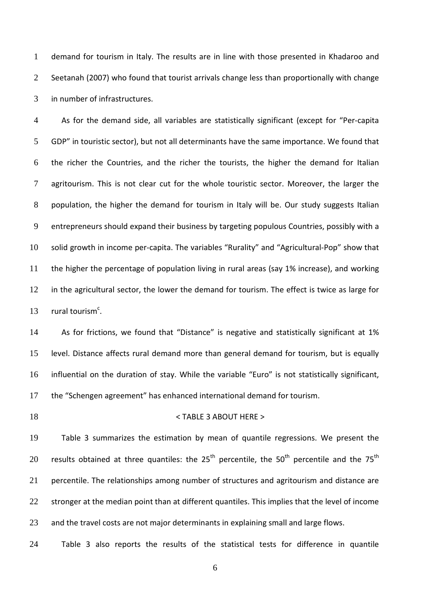demand for tourism in Italy. The results are in line with those presented in Khadaroo and 2 Seetanah (2007) who found that tourist arrivals change less than proportionally with change in number of infrastructures.

As for the demand side, all variables are statistically significant (except for "Per-capita 5 GDP" in touristic sector), but not all determinants have the same importance. We found that the richer the Countries, and the richer the tourists, the higher the demand for Italian 7 agritourism. This is not clear cut for the whole touristic sector. Moreover, the larger the population, the higher the demand for tourism in Italy will be. Our study suggests Italian entrepreneurs should expand their business by targeting populous Countries, possibly with a solid growth in income per-capita. The variables "Rurality" and "Agricultural-Pop" show that the higher the percentage of population living in rural areas (say 1% increase), and working in the agricultural sector, the lower the demand for tourism. The effect is twice as large for  $rural tourism<sup>c</sup>$ .

As for frictions, we found that "Distance" is negative and statistically significant at 1% level. Distance affects rural demand more than general demand for tourism, but is equally influential on the duration of stay. While the variable "Euro" is not statistically significant, the "Schengen agreement" has enhanced international demand for tourism.

## < TABLE 3 ABOUT HERE >

Table 3 summarizes the estimation by mean of quantile regressions. We present the 20 results obtained at three quantiles: the  $25<sup>th</sup>$  percentile, the  $50<sup>th</sup>$  percentile and the  $75<sup>th</sup>$ 21 percentile. The relationships among number of structures and agritourism and distance are 22 stronger at the median point than at different quantiles. This implies that the level of income and the travel costs are not major determinants in explaining small and large flows.

Table 3 also reports the results of the statistical tests for difference in quantile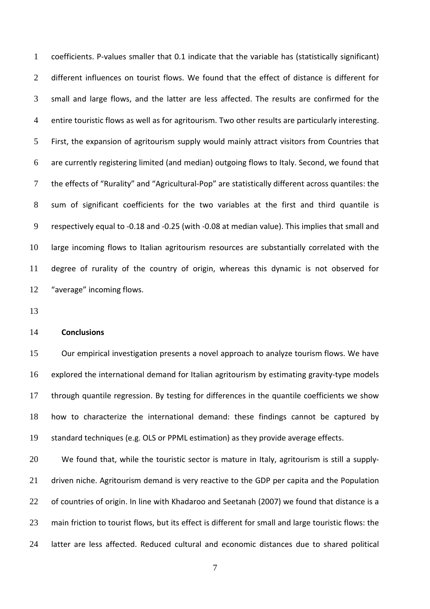coefficients. P-values smaller that 0.1 indicate that the variable has (statistically significant) 2 different influences on tourist flows. We found that the effect of distance is different for small and large flows, and the latter are less affected. The results are confirmed for the entire touristic flows as well as for agritourism. Two other results are particularly interesting. First, the expansion of agritourism supply would mainly attract visitors from Countries that are currently registering limited (and median) outgoing flows to Italy. Second, we found that the effects of "Rurality" and "Agricultural-Pop" are statistically different across quantiles: the sum of significant coefficients for the two variables at the first and third quantile is respectively equal to -0.18 and -0.25 (with -0.08 at median value). This implies that small and large incoming flows to Italian agritourism resources are substantially correlated with the degree of rurality of the country of origin, whereas this dynamic is not observed for "average" incoming flows.

## **Conclusions**

Our empirical investigation presents a novel approach to analyze tourism flows. We have explored the international demand for Italian agritourism by estimating gravity-type models through quantile regression. By testing for differences in the quantile coefficients we show how to characterize the international demand: these findings cannot be captured by standard techniques (e.g. OLS or PPML estimation) as they provide average effects.

We found that, while the touristic sector is mature in Italy, agritourism is still a supply-21 driven niche. Agritourism demand is very reactive to the GDP per capita and the Population 22 of countries of origin. In line with Khadaroo and Seetanah (2007) we found that distance is a 23 main friction to tourist flows, but its effect is different for small and large touristic flows: the latter are less affected. Reduced cultural and economic distances due to shared political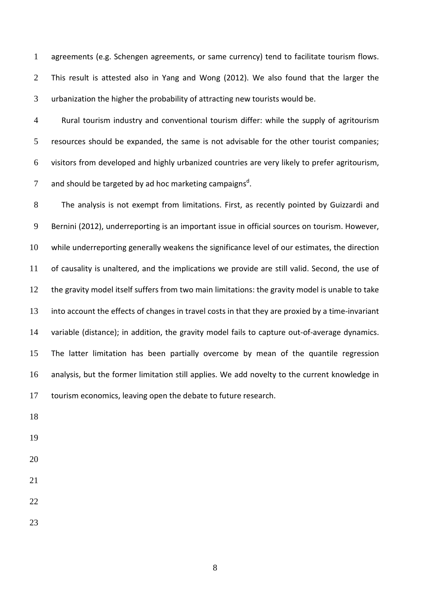agreements (e.g. Schengen agreements, or same currency) tend to facilitate tourism flows. This result is attested also in Yang and Wong (2012). We also found that the larger the urbanization the higher the probability of attracting new tourists would be.

Rural tourism industry and conventional tourism differ: while the supply of agritourism resources should be expanded, the same is not advisable for the other tourist companies; visitors from developed and highly urbanized countries are very likely to prefer agritourism, 7 and should be targeted by ad hoc marketing campaigns<sup>d</sup>.

The analysis is not exempt from limitations. First, as recently pointed by Guizzardi and Bernini (2012), underreporting is an important issue in official sources on tourism. However, while underreporting generally weakens the significance level of our estimates, the direction of causality is unaltered, and the implications we provide are still valid. Second, the use of the gravity model itself suffers from two main limitations: the gravity model is unable to take into account the effects of changes in travel costs in that they are proxied by a time-invariant variable (distance); in addition, the gravity model fails to capture out-of-average dynamics. The latter limitation has been partially overcome by mean of the quantile regression analysis, but the former limitation still applies. We add novelty to the current knowledge in tourism economics, leaving open the debate to future research.

- 
- 
- 
- 
- 
-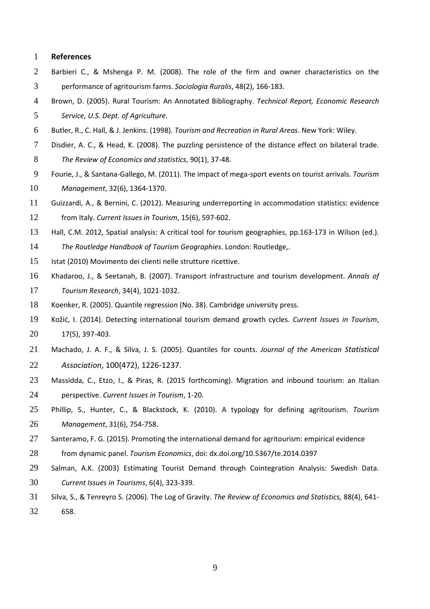#### **References**

- Barbieri C., & Mshenga P. M. (2008). The role of the firm and owner characteristics on the performance of agritourism farms. *Sociologia Ruralis*, 48(2), 166-183.
- Brown, D. (2005). Rural Tourism: An Annotated Bibliography. *Technical Report, Economic Research Service, U.S. Dept. of Agriculture*.
- Butler, R., C. Hall, & J. Jenkins. (1998). *Tourism and Recreation in Rural Areas*. New York: Wiley.
- Disdier, A. C., & Head, K. (2008). The puzzling persistence of the distance effect on bilateral trade.
- *The Review of Economics and statistics*, 90(1), 37-48.
- Fourie, J., & Santana-Gallego, M. (2011). The impact of mega-sport events on tourist arrivals. *Tourism Management*, 32(6), 1364-1370.
- Guizzardi, A., & Bernini, C. (2012). Measuring underreporting in accommodation statistics: evidence from Italy. *Current Issues in Tourism*, 15(6), 597-602.
- Hall, C.M. 2012, Spatial analysis: A critical tool for tourism geographies, pp.163-173 in Wilson (ed.)*.*
- *The Routledge Handbook of Tourism Geographies*. London: Routledge,.
- Istat (2010) Movimento dei clienti nelle strutture ricettive.
- Khadaroo, J., & Seetanah, B. (2007). Transport infrastructure and tourism development. *Annals of Tourism Research*, 34(4), 1021-1032.
- Koenker, R. (2005). Quantile regression (No. 38). Cambridge university press.
- Kožić, I. (2014). Detecting international tourism demand growth cycles. *Current Issues in Tourism*, 17(5), 397-403.
- Machado, J. A. F., & Silva, J. S. (2005). Quantiles for counts. *Journal of the American Statistical Association*, 100(472), 1226-1237.
- Massidda, C., Etzo, I., & Piras, R. (2015 forthcoming). Migration and inbound tourism: an Italian perspective. *Current Issues in Tourism*, 1-20.
- Phillip, S., Hunter, C., & Blackstock, K. (2010). A typology for defining agritourism. *Tourism Management*, 31(6), 754-758.
- Santeramo, F. G. (2015). Promoting the international demand for agritourism: empirical evidence
- from dynamic panel. *Tourism Economics*, doi: dx.doi.org/10.5367/te.2014.0397
- Salman, A.K. (2003) Estimating Tourist Demand through Cointegration Analysis: Swedish Data. *Current Issues in Tourisms*, 6(4), 323-339.
- Silva, S., & Tenreyro S. (2006). The Log of Gravity. *The Review of Economics and Statistics,* 88(4), 641- 658.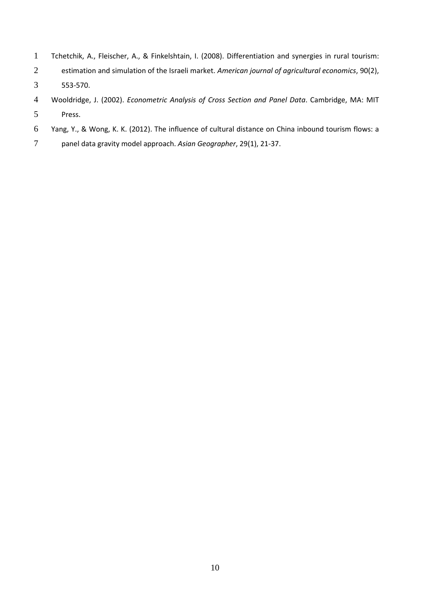- Tchetchik, A., Fleischer, A., & Finkelshtain, I. (2008). Differentiation and synergies in rural tourism:
- estimation and simulation of the Israeli market. *American journal of agricultural economics*, 90(2),
- 553-570.
- Wooldridge, J. (2002). *Econometric Analysis of Cross Section and Panel Data*. Cambridge, MA: MIT Press.
- Yang, Y., & Wong, K. K. (2012). The influence of cultural distance on China inbound tourism flows: a
- panel data gravity model approach. *Asian Geographer*, 29(1), 21-37.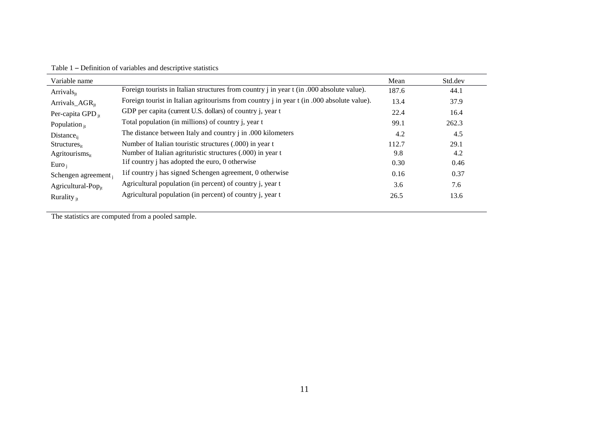| Variable name                  |                                                                                            | Mean  | Std.dev |
|--------------------------------|--------------------------------------------------------------------------------------------|-------|---------|
| Arrivals $_{it}$               | Foreign tourists in Italian structures from country j in year t (in .000 absolute value).  | 187.6 | 44.1    |
| Arrivals_ $AGR_{it}$           | Foreign tourist in Italian agritourisms from country j in year t (in .000 absolute value). | 13.4  | 37.9    |
| Per-capita GPD <sub>it</sub>   | GDP per capita (current U.S. dollars) of country j, year t                                 | 22.4  | 16.4    |
| Population $_{it}$             | Total population (in millions) of country j, year t                                        | 99.1  | 262.3   |
| $Distance_{ii}$                | The distance between Italy and country j in .000 kilometers                                | 4.2   | 4.5     |
| $Structures_{it}$              | Number of Italian touristic structures (.000) in year t                                    | 112.7 | 29.1    |
| Agritourisms $_{it}$           | Number of Italian agrituristic structures (.000) in year t                                 | 9.8   | 4.2     |
| $Euro_i$                       | 1 if country i has adopted the euro, 0 otherwise                                           | 0.30  | 0.46    |
| Schengen agreement,            | lif country j has signed Schengen agreement, 0 otherwise                                   | 0.16  | 0.37    |
| Agricultural-Pop <sub>it</sub> | Agricultural population (in percent) of country j, year t                                  | 3.6   | 7.6     |
| Rurality $_{it}$               | Agricultural population (in percent) of country j, year t                                  | 26.5  | 13.6    |

Table 1 – Definition of variables and descriptive statistics

The statistics are computed from a pooled sample.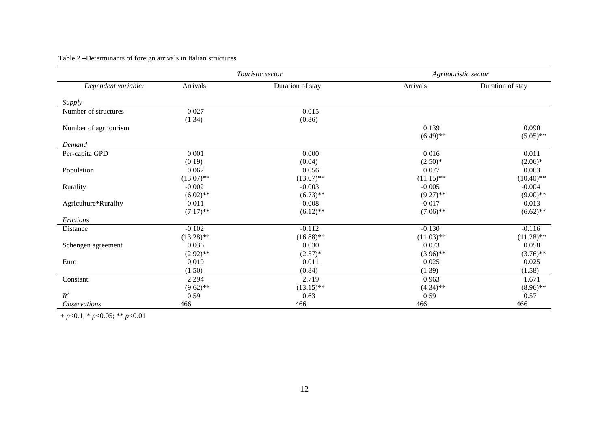|                            |              | Touristic sector | Agritouristic sector |                  |  |  |
|----------------------------|--------------|------------------|----------------------|------------------|--|--|
| Dependent variable:        | Arrivals     | Duration of stay | Arrivals             | Duration of stay |  |  |
| Supply                     |              |                  |                      |                  |  |  |
| Number of structures       | 0.027        | 0.015            |                      |                  |  |  |
|                            | (1.34)       | (0.86)           |                      |                  |  |  |
| Number of agritourism      |              |                  | 0.139                | 0.090            |  |  |
|                            |              |                  | $(6.49)$ **          | $(5.05)$ **      |  |  |
| Demand                     |              |                  |                      |                  |  |  |
| Per-capita GPD             | 0.001        | 0.000            | 0.016                | 0.011            |  |  |
|                            | (0.19)       | (0.04)           | $(2.50)*$            | $(2.06)*$        |  |  |
| Population                 | 0.062        | 0.056            | 0.077                | 0.063            |  |  |
|                            | $(13.07)$ ** | $(13.07)$ **     | $(11.15)$ **         | $(10.40)$ **     |  |  |
| Rurality                   | $-0.002$     | $-0.003$         | $-0.005$             | $-0.004$         |  |  |
|                            | $(6.02)$ **  | $(6.73)$ **      | $(9.27)$ **          | $(9.00)$ **      |  |  |
| Agriculture*Rurality       | $-0.011$     | $-0.008$         | $-0.017$             | $-0.013$         |  |  |
|                            | $(7.17)$ **  | $(6.12)$ **      | $(7.06)$ **          | $(6.62)$ **      |  |  |
| Frictions                  |              |                  |                      |                  |  |  |
| Distance                   | $-0.102$     | $-0.112$         | $-0.130$             | $-0.116$         |  |  |
|                            | $(13.28)$ ** | $(16.88)$ **     | $(11.03)$ **         | $(11.28)$ **     |  |  |
| Schengen agreement         | 0.036        | 0.030            | 0.073                | 0.058            |  |  |
|                            | $(2.92)$ **  | $(2.57)^*$       | $(3.96)$ **          | $(3.76)$ **      |  |  |
| Euro                       | 0.019        | 0.011            | 0.025                | 0.025            |  |  |
|                            | (1.50)       | (0.84)           | (1.39)               | (1.58)           |  |  |
| Constant                   | 2.294        | 2.719            | 0.963                | 1.671            |  |  |
|                            | $(9.62)$ **  | $(13.15)$ **     | $(4.34)$ **          | $(8.96)$ **      |  |  |
| $R^2$                      | 0.59         | 0.63             | 0.59                 | 0.57             |  |  |
| <i><b>Observations</b></i> | 466          | 466              | 466                  | 466              |  |  |

# Table 2 –Determinants of foreign arrivals in Italian structures

+ *p*<0.1; \* *p*<0.05; \*\* *p*<0.01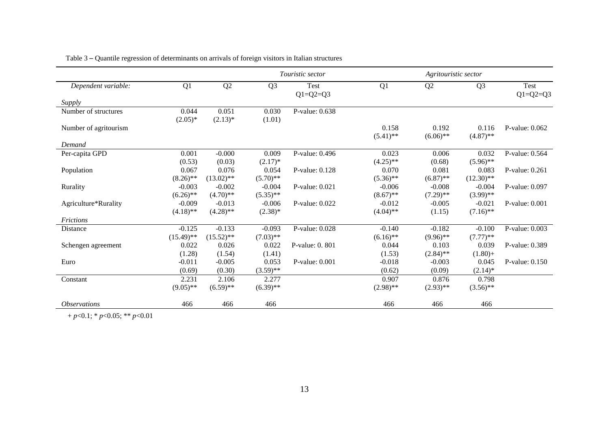|                            |              |              | Touristic sector |                        | Agritouristic sector |                |                |                        |
|----------------------------|--------------|--------------|------------------|------------------------|----------------------|----------------|----------------|------------------------|
| Dependent variable:        | Q1           | Q2           | Q <sub>3</sub>   | Test<br>$Q1 = Q2 = Q3$ | Q1                   | Q <sub>2</sub> | Q <sub>3</sub> | Test<br>$Q1 = Q2 = Q3$ |
| Supply                     |              |              |                  |                        |                      |                |                |                        |
| Number of structures       | 0.044        | 0.051        | 0.030            | P-value: 0.638         |                      |                |                |                        |
|                            | $(2.05)^*$   | $(2.13)*$    | (1.01)           |                        |                      |                |                |                        |
| Number of agritourism      |              |              |                  |                        | 0.158                | 0.192          | 0.116          | P-value: 0.062         |
|                            |              |              |                  |                        | $(5.41)$ **          | $(6.06)$ **    | $(4.87)$ **    |                        |
| Demand                     |              |              |                  |                        |                      |                |                |                        |
| Per-capita GPD             | 0.001        | $-0.000$     | 0.009            | P-value: 0.496         | 0.023                | 0.006          | 0.032          | P-value: 0.564         |
|                            | (0.53)       | (0.03)       | $(2.17)^*$       |                        | $(4.25)$ **          | (0.68)         | $(5.96)$ **    |                        |
| Population                 | 0.067        | 0.076        | 0.054            | P-value: $0.128$       | 0.070                | 0.081          | 0.083          | P-value: 0.261         |
|                            | $(8.26)$ **  | $(13.02)$ ** | $(5.70)$ **      |                        | $(5.36)$ **          | $(6.87)$ **    | $(12.30)$ **   |                        |
| Rurality                   | $-0.003$     | $-0.002$     | $-0.004$         | P-value: $0.021$       | $-0.006$             | $-0.008$       | $-0.004$       | P-value: 0.097         |
|                            | $(6.26)$ **  | $(4.70)$ **  | $(5.35)$ **      |                        | $(8.67)$ **          | $(7.29)$ **    | $(3.99)$ **    |                        |
| Agriculture*Rurality       | $-0.009$     | $-0.013$     | $-0.006$         | P-value: 0.022         | $-0.012$             | $-0.005$       | $-0.021$       | P-value: $0.001$       |
|                            | $(4.18)$ **  | $(4.28)$ **  | $(2.38)^*$       |                        | $(4.04)$ **          | (1.15)         | $(7.16)$ **    |                        |
| <b>Frictions</b>           |              |              |                  |                        |                      |                |                |                        |
| Distance                   | $-0.125$     | $-0.133$     | $-0.093$         | P-value: 0.028         | $-0.140$             | $-0.182$       | $-0.100$       | P-value: 0.003         |
|                            | $(15.49)$ ** | $(15.52)$ ** | $(7.03)$ **      |                        | $(6.16)$ **          | $(9.96)$ **    | $(7.77)**$     |                        |
| Schengen agreement         | 0.022        | 0.026        | 0.022            | P-value: 0. 801        | 0.044                | 0.103          | 0.039          | P-value: 0.389         |
|                            | (1.28)       | (1.54)       | (1.41)           |                        | (1.53)               | $(2.84)$ **    | $(1.80) +$     |                        |
| Euro                       | $-0.011$     | $-0.005$     | 0.053            | P-value: 0.001         | $-0.018$             | $-0.003$       | 0.045          | P-value: $0.150$       |
|                            | (0.69)       | (0.30)       | $(3.59)$ **      |                        | (0.62)               | (0.09)         | $(2.14)^*$     |                        |
| Constant                   | 2.231        | 2.106        | 2.277            |                        | 0.907                | 0.876          | 0.798          |                        |
|                            | $(9.05)$ **  | $(6.59)$ **  | $(6.39)$ **      |                        | $(2.98)$ **          | $(2.93)$ **    | $(3.56)$ **    |                        |
| <i><b>Observations</b></i> | 466          | 466          | 466              |                        | 466                  | 466            | 466            |                        |

Table 3 – Quantile regression of determinants on arrivals of foreign visitors in Italian structures

+ *p*<0.1; \* *p*<0.05; \*\* *p*<0.01